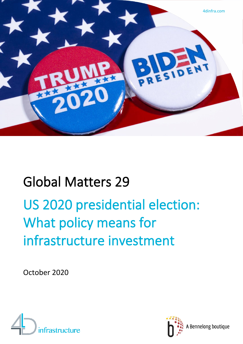

# Global Matters 29

# US 2020 presidential election: What policy means for infrastructure investment

October 2020



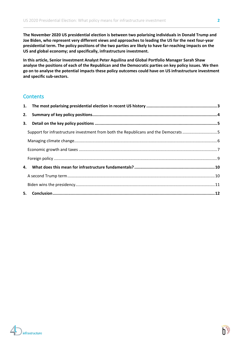**The November 2020 US presidential election is between two polarising individuals in Donald Trump and Joe Biden, who represent very different views and approaches to leading the US for the next four-year presidential term. The policy positions of the two parties are likely to have far-reaching impacts on the US and global economy; and specifically, infrastructure investment.**

**In this article, Senior Investment Analyst Peter Aquilina and Global Portfolio Manager Sarah Shaw analyse the positions of each of the Republican and the Democratic parties on key policy issues. We then go on to analyse the potential impacts these policy outcomes could have on US infrastructure investment and specific sub-sectors.** 

### **Contents**

| Support for infrastructure investment from both the Republicans and the Democrats 5 |  |
|-------------------------------------------------------------------------------------|--|
|                                                                                     |  |
|                                                                                     |  |
|                                                                                     |  |
|                                                                                     |  |
|                                                                                     |  |
|                                                                                     |  |
|                                                                                     |  |

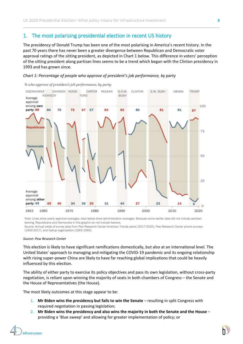# 1. The most polarising presidential election in recent US history

The presidency of Donald Trump has been one of the most polarising in America's recent history. In the past 70 years there has never been a greater divergence between Republican and Democratic voter approval ratings of the sitting president, as depicted in Chart 1 below. This difference in voters' perception of the sitting president along partisan lines seems to be a trend which began with the Clinton presidency in 1993 and has grown since.

#### *Chart 1: Percentage of people who approve of president's job performance, by party*



% who approve of president's job performance, by party

Note: Lines show yearly approval averages; data labels show administration averages. Because some earlier data did not include partisan leaning, Republicans and Democrats in this graphic do not include leaners. Source: Annual totals of survey data from Pew Research Center American Trends panel (2017-2020), Pew Research Center phone surveys (1993-2017), and Gallup organization (1953-1993).

#### *Source: Pew Research Center*

This election is likely to have significant ramifications domestically, but also at an international level. The United States' approach to managing and mitigating the COVID-19 pandemic and its ongoing relationship with rising super-power China are likely to have far reaching global implications that could be heavily influenced by this election.

The ability of either party to exercise its policy objectives and pass its own legislation, without cross-party negotiation, is reliant upon winning the majority of seats in both chambers of Congress – the Senate and the House of Representatives (the House).

The most likely outcomes at this stage appear to be:

- 1. **Mr Biden wins the presidency but fails to win the Senate** resulting in split Congress with required negotiation in passing legislation;
- 2. **Mr Biden wins the presidency and also wins the majority in both the Senate and the House** providing a 'Blue sweep' and allowing for greater implementation of policy; or

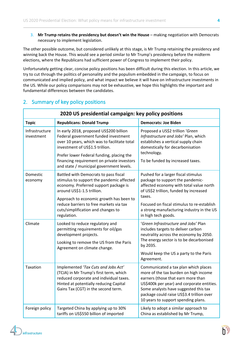3. **Mr Trump retains the presidency but doesn't win the House** – making negotiation with Democrats necessary to implement legislation.

The other possible outcome, but considered unlikely at this stage, is Mr Trump retaining the presidency and winning back the House. This would see a period similar to Mr Trump's presidency before the midterm elections, where the Republicans had sufficient power of Congress to implement their policy.

Unfortunately getting clear, concise policy positions has been difficult during this election. In this article, we try to cut through the politics of personality and the populism embedded in the campaign, to focus on communicated and implied policy, and what impact we believe it will have on infrastructure investments in the US. While our policy comparisons may not be exhaustive, we hope this highlights the important and fundamental differences between the candidates.

| 2020 US presidential campaign: key policy positions |                                                                                                                                                                                                                                                                                                           |                                                                                                                                                                                                                                                                                                |  |  |  |  |  |
|-----------------------------------------------------|-----------------------------------------------------------------------------------------------------------------------------------------------------------------------------------------------------------------------------------------------------------------------------------------------------------|------------------------------------------------------------------------------------------------------------------------------------------------------------------------------------------------------------------------------------------------------------------------------------------------|--|--|--|--|--|
| <b>Topic</b>                                        | <b>Republicans: Donald Trump</b>                                                                                                                                                                                                                                                                          | <b>Democrats: Joe Biden</b>                                                                                                                                                                                                                                                                    |  |  |  |  |  |
| Infrastructure<br>investment                        | In early 2018, proposed US\$200 billion<br>Federal government funded investment<br>over 10 years, which was to facilitate total<br>investment of US\$1.5 trillion.<br>Prefer lower Federal funding, placing the<br>financing requirement on private investors<br>and state / municipal government levels. | Proposed a US\$2 trillion 'Green<br>Infrastructure and Jobs' Plan, which<br>establishes a vertical supply chain<br>domestically for decarbonisation<br>technology.<br>To be funded by increased taxes.                                                                                         |  |  |  |  |  |
| Domestic<br>economy                                 | Battled with Democrats to pass fiscal<br>stimulus to support the pandemic affected<br>economy. Preferred support package is<br>around US\$1-1.5 trillion.<br>Approach to economic growth has been to<br>reduce barriers to free markets via tax<br>cuts/simplification and changes to<br>regulation.      | Pushed for a larger fiscal stimulus<br>package to support the pandemic-<br>affected economy with total value north<br>of US\$2 trillion, funded by increased<br>taxes.<br>Focused on fiscal stimulus to re-establish<br>a strong manufacturing industry in the US<br>in high tech goods.       |  |  |  |  |  |
| Climate                                             | Looked to reduce regulatory and<br>permitting requirements for oil/gas<br>development projects.<br>Looking to remove the US from the Paris<br>Agreement on climate change.                                                                                                                                | 'Green Infrastructure and Jobs' Plan<br>includes targets to deliver carbon<br>neutrality across the economy by 2050.<br>The energy sector is to be decarbonised<br>by 2035.<br>Would keep the US a party to the Paris<br>Agreement.                                                            |  |  |  |  |  |
| Taxation                                            | Implemented 'Tax Cuts and Jobs Act'<br>(TCJA) in Mr Trump's first term, which<br>reduced corporate and individual taxes.<br>Hinted at potentially reducing Capital<br>Gains Tax (CGT) in the second term.                                                                                                 | Communicated a tax plan which places<br>more of the tax burden on high income<br>earners (those that earn more than<br>US\$400k per year) and corporate entities.<br>Some analysts have suggested this tax<br>package could raise US\$3.4 trillion over<br>10 years to support spending plans. |  |  |  |  |  |
| Foreign policy                                      | Targeted China by applying up to 30%<br>tariffs on US\$550 billion of imported                                                                                                                                                                                                                            | Likely to adopt a similar approach to<br>China as established by Mr Trump,                                                                                                                                                                                                                     |  |  |  |  |  |

# 2. Summary of key policy positions

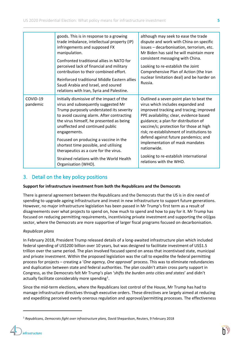|                      | goods. This is in response to a growing<br>trade imbalance, intellectual property (IP)<br>infringements and supposed FX<br>manipulation.<br>Confronted traditional allies in NATO for<br>perceived lack of financial and military<br>contribution to their combined effort.<br>Reinforced traditional Middle Eastern allies<br>Saudi Arabia and Israel, and soured<br>relations with Iran, Syria and Palestine.                                                        | although may seek to ease the trade<br>dispute and work with China on specific<br>issues - decarbonisation, terrorism, etc.<br>Mr Biden has said he will maintain more<br>consistent messaging with China.<br>Looking to re-establish the Joint<br>Comprehensive Plan of Action (the Iran<br>nuclear limitation deal) and be harder on<br>Russia.                                                                                                                |
|----------------------|------------------------------------------------------------------------------------------------------------------------------------------------------------------------------------------------------------------------------------------------------------------------------------------------------------------------------------------------------------------------------------------------------------------------------------------------------------------------|------------------------------------------------------------------------------------------------------------------------------------------------------------------------------------------------------------------------------------------------------------------------------------------------------------------------------------------------------------------------------------------------------------------------------------------------------------------|
| COVID-19<br>pandemic | Initially dismissive of the impact of the<br>virus and subsequently suggested Mr<br>Trump purposely understated its severity<br>to avoid causing alarm. After contracting<br>the virus himself, he presented as being<br>unaffected and continued public<br>engagements.<br>Focused on producing a vaccine in the<br>shortest time possible, and utilising<br>therapeutics as a cure for the virus.<br>Strained relations with the World Health<br>Organisation (WHO). | Outlined a seven point plan to beat the<br>virus which includes expanded and<br>improved tracking and tracing; improved<br>PPE availability; clear, evidence based<br>guidance; a plan for distribution of<br>vaccine/s; protection for those at high<br>risk; re-establishment of institutions to<br>defend against future pandemics; and<br>implementation of mask mandates<br>nationwide.<br>Looking to re-establish international<br>relations with the WHO. |

# 3. Detail on the key policy positions

#### **Support for infrastructure investment from both the Republicans and the Democrats**

There is general agreement between the Republicans and the Democrats that the US is in dire need of spending to upgrade ageing infrastructure and invest in new infrastructure to support future generations. However, no major infrastructure legislation has been passed in Mr Trump's first term as a result of disagreements over what projects to spend on, how much to spend and how to pay for it. Mr Trump has focused on reducing permitting requirements, incentivising private investment and supporting the oil/gas sector, where the Democrats are more supportive of larger fiscal programs focused on decarbonisation.

#### *Republican plans*

In February 2018, President Trump released details of a long-awaited infrastructure plan which included federal spending of US\$200 billion over 10 years, but was designed to facilitate investment of US\$1.5 trillion over the same period. The plan involved focused spend on areas that incentivised state, municipal and private investment. Within the proposed legislation was the call to expedite the federal permitting process for projects – creating a '*One agency, One approval*' process. This was to eliminate redundancies and duplication between state and federal authorities. The plan couldn't attain cross party support in Congress, as the Democrats felt Mr Trump's plan '*shifts the burden onto cities and states*' and didn't actually facilitate considerably more spending<sup>[1](#page-4-0)</sup>.

Since the mid-term elections, where the Republicans lost control of the House, Mr Trump has had to manage infrastructure directives through executive orders. These directives are largely aimed at reducing and expediting perceived overly onerous regulation and approval/permitting processes. The effectiveness

<span id="page-4-0"></span><sup>1</sup> *Republicans, Democrats fight over infrastructure plans,* David Shepardson, Reuters, 9 February 2018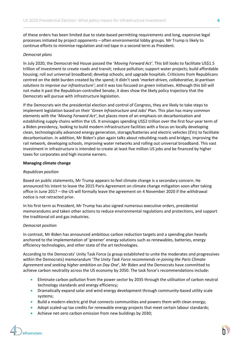of these orders has been limited due to state-based permitting requirements and long, expensive legal processes initiated by project opponents – often environmental lobby groups. Mr Trump is likely to continue efforts to minimise regulation and red tape in a second term as President.

#### *Democrat plans*

In July 2020, the Democrat-led House passed the '*Moving Forward Act'*. This bill looks to facilitate US\$1.5 trillion of investment to create roads and transit; reduce pollution; support water projects; build affordable housing; roll out universal broadband; develop schools; and upgrade hospitals. Criticisms from Republicans centred on the debt burden created by the spend; it didn't seek '*market-driven, collaborative, bi-partisan solutions to improve our infrastructure'*; and it was too focused on green initiatives. Although this bill will not make it past the Republican-controlled Senate, it does show the likely policy trajectory that the Democrats will pursue with infrastructure legislation.

If the Democrats win the presidential election and control of Congress, they are likely to take steps to implement legislation based on their '*Green Infrastructure and Jobs*' Plan. This plan has many common elements with the '*Moving Forward Act'*, but places more of an emphasis on decarbonisation and establishing supply chains within the US. It envisages spending US\$2 trillion over the first four-year term of a Biden presidency, looking to build modern infrastructure facilities with a focus on locally developing clean, technologically advanced energy generation, storage/batteries and electric vehicles (EVs) to facilitate decarbonisation. In addition, Mr Biden's plan again talks about rebuilding roads and bridges, improving the rail network, developing schools, improving water networks and rolling out universal broadband. This vast investment in infrastructure is intended to create at least five million US jobs and be financed by higher taxes for corporates and high income earners.

#### **Managing climate change**

#### *Republican position*

Based on public statements, Mr Trump appears to feel climate change is a secondary concern. He announced his intent to leave the 2015 Paris Agreement on climate change mitigation soon after taking office in June 2017 – the US will formally leave the agreement on 4 November 2020 if the withdrawal notice is not retracted prior.

In his first term as President, Mr Trump has also signed numerous executive orders, presidential memorandums and taken other actions to reduce environmental regulations and protections, and support the traditional oil and gas industries.

#### *Democrat position*

In contrast, Mr Biden has announced ambitious carbon reduction targets and a spending plan heavily anchored to the implementation of 'greener' energy solutions such as renewables, batteries, energy efficiency technologies, and other state of the art technologies.

According to the Democrats' Unity Task Force (a group established to unite the moderates and progressives within the Democrats) memorandum '*The Unity Task Force recommends re-joining the Paris Climate Agreement and seeking higher ambition on Day One*', Mr Biden and the Democrats have committed to achieve carbon neutrality across the US economy by 2050. The task force's recommendations include:

- Eliminate carbon pollution from the power sector by 2035 through the utilisation of carbon neutral technology standards and energy efficiency;
- Dramatically expand solar and wind energy development through community-based utility scale systems;
- Build a modern electric grid that connects communities and powers them with clean energy;
- Adopt scaled-up tax credits for renewable energy projects that meet certain labour standards;
- Achieve net-zero carbon emission from new buildings by 2030;

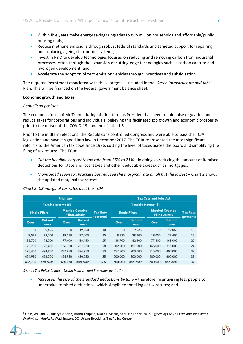- Within five years make energy savings upgrades to two million households and affordable/public housing units;
- Reduce methane emissions through robust federal standards and targeted support for repairing and replacing ageing distribution systems;
- Invest in R&D to develop technologies focused on reducing and removing carbon from industrial processes, often through the expansion of cutting-edge technologies such as carbon capture and hydrogen development; and
- Accelerate the adoption of zero emission vehicles through incentives and subsidisation.

The required investment associated with these targets is included in the '*Green Infrastructure and Jobs'* Plan. This will be financed on the Federal government balance sheet.

#### **Economic growth and taxes**

#### *Republican position*

The economic focus of Mr Trump during his first term as President has been to minimise regulation and reduce taxes for corporations and individuals, believing this facilitated job growth and economic prosperity prior to the outset of the COVID-19 pandemic in the US.

Prior to the midterm elections, the Republicans controlled Congress and were able to pass the TCJA legislation and have it signed into law in December 2017. The TCJA represented the most significant reforms to the American tax code since 1986, cutting the level of taxes across the board and simplifying the filing of tax returns. The TCJA:

- *Cut the headline corporate tax rate from 35% to 21%* in doing so reducing the amount of itemised deductions for state and local taxes and other deductible taxes such as mortgages;
- *Maintained seven tax brackets but reduced the marginal rate on all but the lowest* Chart 2 shows the updated marginal tax rates<sup>[2](#page-6-0)</sup>;

#### *Chart 2: US marginal tax rates post the TCJA*

| <b>Prior Law</b><br>Taxable Income (\$) |                        |         |                                                 | <b>Tax Cuts and Jobs Act</b> |                      |                        |                                                 |                        |                              |
|-----------------------------------------|------------------------|---------|-------------------------------------------------|------------------------------|----------------------|------------------------|-------------------------------------------------|------------------------|------------------------------|
|                                         |                        |         |                                                 |                              | Taxable Income (\$)  |                        |                                                 |                        |                              |
| <b>Single Filers</b>                    |                        |         | <b>Married Couples</b><br><b>Filing Jointly</b> | <b>Tax Rate</b><br>(percent) | <b>Single Filers</b> |                        | <b>Married Couples</b><br><b>Filing Jointly</b> |                        | <b>Tax Rate</b><br>(percent) |
| Over                                    | <b>But not</b><br>over | Over    | <b>But not</b><br>over                          |                              | Over                 | <b>But not</b><br>over | Over                                            | <b>But not</b><br>over |                              |
| $\circ$                                 | 9,525                  | $\circ$ | 19,050                                          | 10                           | $\circ$              | 9,525                  | $\circ$                                         | 19,050                 | 10                           |
| 9,525                                   | 38,700                 | 19,050  | 77,400                                          | 15                           | 9,525                | 38,700                 | 19,050                                          | 77,400                 | 12                           |
| 38,700                                  | 93,700                 | 77,400  | 156,150                                         | 25                           | 38,700               | 82,500                 | 77,400                                          | 165,000                | 22                           |
| 93,700                                  | 195,450                | 156,150 | 237,950                                         | 28                           | 82,500               | 157,500                | 165,000                                         | 315,000                | 24                           |
| 195,450                                 | 424,950                | 237,950 | 424,950                                         | 33                           | 157,500              | 200,000                | 315,000                                         | 400,000                | 32                           |
| 424,950                                 | 426,700                | 424,950 | 480,050                                         | 35                           | 200,000              | 500,000                | 400,000                                         | 600,000                | 35                           |
| 426,700                                 | and over               | 480,050 | and over                                        | 39.6                         | 500,000              | and over               | 600,000                                         | and over               | 37                           |

*Source: Tax Policy Center – Urban Institute and Brookings Institution*

• *Increased the size of the standard deductions by 85% –* therefore incentivising less people to undertake itemised deductions, which simplified the filing of tax returns; and

<span id="page-6-0"></span><sup>2</sup> Gale, William G., Hilary Gelfond, Aaron Krupkin, Mark J. Mazur, and Eric Toder, 2018, *Effects of the Tax Cuts and Jobs Act: A Preliminary Analysis*, Washington, DC: Urban-Brookings Tax Policy Center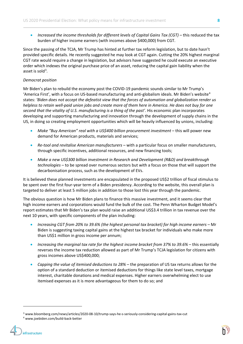• *Increased the income thresholds for different levels of Capital Gains Tax (CGT)* – this reduced the tax burden of higher income earners (with incomes above \$400,000) from CGT.

Since the passing of the TCJA, Mr Trump has hinted at further tax reform legislation, but to date hasn't provided specific details. He recently suggested he may look at CGT again. Cutting the 20% highest marginal CGT rate would require a change in legislation, but advisors have suggested he could execute an executive order which indexes the original purchase price of an asset, reducing the capital gain liability when the asset is sold<sup>[3](#page-7-0)</sup>.

#### *Democrat position*

Mr Biden's plan to rebuild the economy post the COVID-19 pandemic sounds similar to Mr Trump's 'America First', with a focus on US-based manufacturing and anti-globalism ideals. Mr Biden's website<sup>[4](#page-7-1)</sup> states: *'Biden does not accept the defeatist view that the forces of automation and globalization render us helpless to retain well-paid union jobs and create more of them here in America. He does not buy for one second that the vitality of U.S. manufacturing is a thing of the past'*. His economic plan incorporates developing and supporting manufacturing and innovation through the development of supply chains in the US, in doing so creating employment opportunities which will be heavily influenced by unions, including:

- *Make "Buy American" real with a US\$400 billion procurement investment* this will power new demand for American products, materials and services;
- *Re-tool and revitalise American manufacturers* with a particular focus on smaller manufacturers, through specific incentives, additional resources, and new financing tools;
- *Make a new US\$300 billion investment in Research and Development (R&D) and breakthrough technologies* – to be spread over numerous sectors but with a focus on those that will support the decarbonisation process, such as the development of EVs.

It is believed these planned investments are encapsulated in the proposed US\$2 trillion of fiscal stimulus to be spent over the first four-year term of a Biden presidency. According to the website, this overall plan is targeted to deliver at least 5 million jobs in addition to those lost this year through the pandemic.

The obvious question is how Mr Biden plans to finance this massive investment, and it seems clear that high income earners and corporations would fund the bulk of the cost. The Penn Wharton Budget Model's report estimates that Mr Biden's tax plan would raise an additional US\$3.4 trillion in tax revenue over the next 10 years, with specific components of the plan including:

- *Increasing CGT from 20% to 39.6% (the highest personal tax bracket) for high income earners*  Mr Biden is suggesting taxing capital gains at the highest tax bracket for individuals who make more than US\$1 million in gross income per annum;
- *Increasing the marginal tax rate for the highest income bracket from 37% to 39.6%*  this essentially reverses the income tax reduction allowed as part of Mr Trump's TCJA legislation for citizens with gross incomes above US\$400,000;
- *Capping the value of itemised deductions to 28%*  the preparation of US tax returns allows for the option of a standard deduction or itemised deductions for things like state level taxes, mortgage interest, charitable donations and medical expenses. Higher earners overwhelming elect to use itemised expenses as it is more advantageous for them to do so; and

<sup>3</sup> www.bloomberg.com/news/articles/2020-08-10/trump-says-he-s-seriously-considering-capital-gains-tax-cut

<span id="page-7-1"></span><span id="page-7-0"></span><sup>4</sup> www.joebiden.com/build-back-better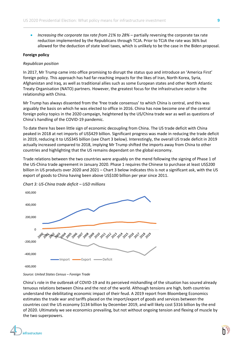• *Increasing the corporate tax rate from 21% to 28%* – partially reversing the corporate tax rate reduction implemented by the Republicans through TCJA. Prior to TCJA the rate was 36% but allowed for the deduction of state level taxes, which is unlikely to be the case in the Biden proposal.

#### **Foreign policy**

#### *Republican position*

In 2017, Mr Trump came into office promising to disrupt the status quo and introduce an 'America First' foreign policy. This approach has had far-reaching impacts for the likes of Iran, North Korea, Syria, Afghanistan and Iraq, as well as traditional allies such as some European states and other North Atlantic Treaty Organisation (NATO) partners. However, the greatest focus for the infrastructure sector is the relationship with China.

Mr Trump has always dissented from the 'free trade consensus' to which China is central, and this was arguably the basis on which he was elected to office in 2016. China has now become one of the central foreign policy topics in the 2020 campaign, heightened by the US/China trade war as well as questions of China's handling of the COVID-19 pandemic.

To date there has been little sign of economic decoupling from China. The US trade deficit with China peaked in 2018 at net imports of US\$429 billion. Significant progress was made in reducing the trade deficit in 2019, reducing it to US\$345 billion (see Chart 3 below). Interestingly, the overall US trade deficit in 2019 actually increased compared to 2018, implying Mr Trump shifted the imports away from China to other countries and highlighting that the US remains dependant on the global economy.

Trade relations between the two countries were arguably on the mend following the signing of Phase 1 of the US-China trade agreement in January 2020. Phase 1 requires the Chinese to purchase at least US\$200 billion in US products over 2020 and 2021 – Chart 3 below indicates this is not a significant ask, with the US export of goods to China having been above US\$100 billion per year since 2011.



*Chart 3: US-China trade deficit – USD millions*

China's role in the outbreak of COVID-19 and its perceived mishandling of the situation has soured already tenuous relations between China and the rest of the world. Although tensions are high, both countries understand the debilitating economic impact of their feud. A 2019 report from Bloomberg Economics estimates the trade war and tariffs placed on the import/export of goods and services between the countries cost the US economy \$134 billion by December 2019, and will likely cost \$316 billion by the end of 2020. Ultimately we see economics prevailing, but not without ongoing tension and flexing of muscle by the two superpowers.

*Source: United States Census – Foreign Trade*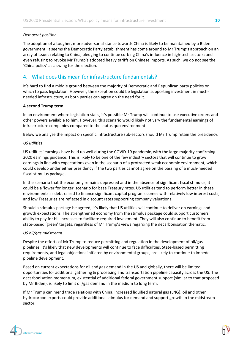#### *Democrat position*

The adoption of a tougher, more adversarial stance towards China is likely to be maintained by a Biden government. It seems the Democratic Party establishment has come around to Mr Trump's approach on an array of issues relating to China, pledging to continue curbing China's influence in high-tech sectors; and even refusing to revoke Mr Trump's adopted heavy tariffs on Chinese imports. As such, we do not see the 'China policy' as a swing for the election.

# 4. What does this mean for infrastructure fundamentals?

It's hard to find a middle ground between the majority of Democratic and Republican party policies on which to pass legislation. However, the exception could be legislation supporting investment in muchneeded infrastructure, as both parties can agree on the need for it.

#### **A second Trump term**

In an environment where legislation stalls, it's possible Mr Trump will continue to use executive orders and other powers available to him. However, this scenario would likely not vary the fundamental earnings of infrastructure companies compared to the status quo environment.

Below we analyse the impact on specific infrastructure sub-sectors should Mr Trump retain the presidency.

#### *US utilities*

US utilities' earnings have held up well during the COVID-19 pandemic, with the large majority confirming 2020 earnings guidance. This is likely to be one of the few industry sectors that will continue to grow earnings in line with expectations even in the scenario of a protracted weak economic environment, which could develop under either presidency if the two parties cannot agree on the passing of a much-needed fiscal stimulus package.

In the scenario that the economy remains depressed and in the absence of significant fiscal stimulus, it could be a 'lower for longer' scenario for base Treasury rates. US utilities tend to perform better in these environments as debt raised to finance significant capital programs comes with relatively low interest costs, and low Treasuries are reflected in discount rates supporting company valuations.

Should a stimulus package be agreed, it's likely that US utilities will continue to deliver on earnings and growth expectations. The strengthened economy from the stimulus package could support customers' ability to pay for bill increases to facilitate required investment. They will also continue to benefit from state-based 'green' targets, regardless of Mr Trump's views regarding the decarbonisation thematic.

#### *US oil/gas midstream*

Despite the efforts of Mr Trump to reduce permitting and regulation in the development of oil/gas pipelines, it's likely that new developments will continue to face difficulties. State-based permitting requirements, and legal objections initiated by environmental groups, are likely to continue to impede pipeline development.

Based on current expectations for oil and gas demand in the US and globally, there will be limited opportunities for additional gathering & processing and transportation pipeline capacity across the US. The decarbonisation momentum, existential of additional federal government support (similar to that proposed by Mr Biden), is likely to limit oil/gas demand in the medium to long term.

If Mr Trump can mend trade relations with China, increased liquified natural gas (LNG), oil and other hydrocarbon exports could provide additional stimulus for demand and support growth in the midstream sector.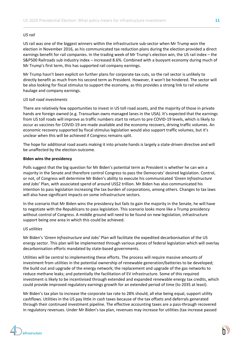#### *US rail*

US rail was one of the biggest winners within the infrastructure sub-sector when Mr Trump won the election in November 2016, as his communicated tax reduction plans during the election provided a direct earnings benefit for rail companies. In the trading week of Mr Trump's election win, the US rail index – the S&P500 Railroads sub industry index – increased 8.6%. Combined with a buoyant economy during much of Mr Trump's first term, this has supported rail company earnings.

Mr Trump hasn't been explicit on further plans for corporate tax cuts, so the rail sector is unlikely to directly benefit as much from his second term as President. However, it won't be hindered. The sector will be also looking for fiscal stimulus to support the economy, as this provides a strong link to rail volume haulage and company earnings.

#### *US toll road investments*

There are relatively few opportunities to invest in US toll road assets, and the majority of those in private hands are foreign owned (e.g. Transurban owns managed lanes in the USA). It's expected that the earnings from US toll roads will improve as traffic numbers start to return to pre COVID-19 levels, which is likely to occur as vaccines for COVID-19 are made available and the economy recovers, driving traffic volumes. An economic recovery supported by fiscal stimulus legislation would also support traffic volumes, but it's unclear when this will be achieved if Congress remains split.

The hope for additional road assets making it into private hands is largely a state-driven directive and will be unaffected by the election outcome.

#### **Biden wins the presidency**

Polls suggest that the big question for Mr Biden's potential term as President is whether he can win a majority in the Senate and therefore control Congress to pass the Democrats' desired legislation. Control, or not, of Congress will determine Mr Biden's ability to execute his communicated *'Green Infrastructure and Jobs*' Plan, with associated spend of around US\$2 trillion. Mr Biden has also communicated his intention to pass legislation increasing the tax burden of corporations, among others. Changes to tax laws will also have significant impacts on some infrastructure sectors.

In the scenario that Mr Biden wins the presidency but fails to gain the majority in the Senate, he will have to negotiate with the Republicans to pass legislation. This scenario looks more like a Trump presidency without control of Congress. A middle ground will need to be found on new legislation, infrastructure support being one area in which this could be achieved.

#### *US utilities*

Mr Biden's '*Green Infrastructure and Jobs'* Plan will facilitate the expedited decarbonisation of the US energy sector. This plan will be implemented through various pieces of federal legislation which will overlay decarbonisation efforts mandated by state-based governments.

Utilities will be central to implementing these efforts. The process will require massive amounts of investment from utilities in the potential ownership of renewable generation/batteries to be developed; the build out and upgrade of the energy network; the replacement and upgrade of the gas networks to reduce methane leaks; and potentially the facilitation of EV infrastructure. Some of this required investment is likely to be incentivised through extended and expanded renewable energy tax credits, which could provide improved regulatory earnings growth for an extended period of time (to 2035 at least).

Mr Biden's tax plan to increase the corporate tax rate to 28% should, all else being equal, support utility cashflows. Utilities in the US pay little in cash taxes because of the tax offsets and deferrals generated through their continued investment pipeline. The effective accounting taxes are a pass-through recovered in regulatory revenues. Under Mr Biden's tax plan, revenues may increase for utilities (tax increase passed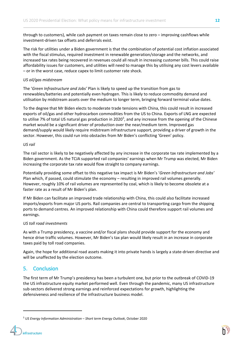through to customers), while cash payment on taxes remain close to zero – improving cashflows while investment-driven tax offsets and deferrals exist.

The risk for utilities under a Biden government is that the combination of potential cost inflation associated with the fiscal stimulus, required investment in renewable generation/storage and the networks, and increased tax rates being recovered in revenues could all result in increasing customer bills. This could raise affordability issues for customers, and utilities will need to manage this by utilising any cost levers available – or in the worst case, reduce capex to limit customer rate shock.

#### *US oil/gas midstream*

The '*Green Infrastructure and Jobs'* Plan is likely to speed up the transition from gas to renewables/batteries and potentially even hydrogen. This is likely to reduce commodity demand and utilisation by midstream assets over the medium to longer term, bringing forward terminal value dates.

To the degree that Mr Biden elects to moderate trade tensions with China, this could result in increased exports of oil/gas and other hydrocarbon commodities from the US to China. Exports of LNG are expected to utilise 7% of total US natural gas production in 2020<sup>[5](#page-11-0)</sup>, and any increase from the opening of the Chinese market would be a significant driver of production over the near/medium term. Improved gas demand/supply would likely require midstream infrastructure support, providing a driver of growth in the sector. However, this could run into obstacles from Mr Biden's conflicting 'Green' policy.

#### *US rail*

The rail sector is likely to be negatively affected by any increase in the corporate tax rate implemented by a Biden government. As the TCJA supported rail companies' earnings when Mr Trump was elected, Mr Biden increasing the corporate tax rate would flow straight to company earnings.

Potentially providing some offset to this negative tax impact is Mr Biden's '*Green Infrastructure and Jobs'* Plan which, if passed, could stimulate the economy – resulting in improved rail volumes generally. However, roughly 10% of rail volumes are represented by coal, which is likely to become obsolete at a faster rate as a result of Mr Biden's plan.

If Mr Biden can facilitate an improved trade relationship with China, this could also facilitate increased imports/exports from major US ports. Rail companies are central to transporting cargo from the shipping ports to demand centres. An improved relationship with China could therefore support rail volumes and earnings.

#### *US toll road investments*

As with a Trump presidency, a vaccine and/or fiscal plans should provide support for the economy and hence drive traffic volumes. However, Mr Biden's tax plan would likely result in an increase in corporate taxes paid by toll road companies.

Again, the hope for additional road assets making it into private hands is largely a state-driven directive and will be unaffected by the election outcome.

## 5. Conclusion

The first term of Mr Trump's presidency has been a turbulent one, but prior to the outbreak of COVID-19 the US infrastructure equity market performed well. Even through the pandemic, many US infrastructure sub-sectors delivered strong earnings and reinforced expectations for growth, highlighting the defensiveness and resilience of the infrastructure business model.

<span id="page-11-0"></span><sup>5</sup> *US Energy Information Administration – Short term Energy Outlook*, October 2020